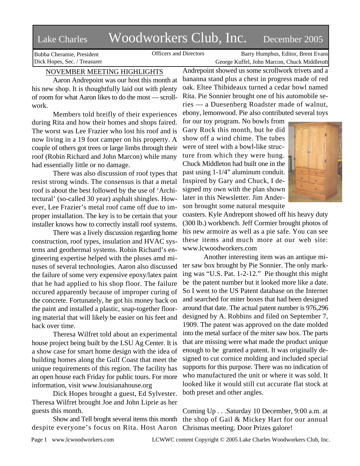## Lake Charles Woodworkers Club, Inc. December 2005

Bubba Cheramie, President Dick Hopes, Sec. / Treasurer

Officers and Directors Barry Humphus, Editor, Brent Evans George Kuffel, John Marcon, Chuck Middleton

## NOVEMBER MEETING HIGHLIGHTS

Aaron Andrepoint was our host this month at his new shop. It is thoughtfully laid out with plenty of room for what Aaron likes to do the most — scrollwork.

Members told breifly of their experiences during Rita and how their homes and shops faired. The worst was Lee Frazier who lost his roof and is now living in a 19 foot camper on his property. A couple of others got trees or large limbs through their roof (Robin Richard and John Marcon) while many had essentially little or no damage.

There was also discussion of roof types that resist strong winds. The consensus is that a metal roof is about the best followed by the use of 'Architectural' (so-called 30 year) asphalt shingles. However, Lee Frazier's metal roof came off due to improper installation. The key is to be certain that your installer knows how to correctly install roof systems.

There was a lively discussion regarding home construction, roof types, insulation and HVAC systems and geothermal systems. Robin Richard's engineering expertise helped with the pluses amd minuses of several technologies. Aaron also discussed the failure of some very expensive epoxy/latex paint that he had applied to his shop floor. The failure occured apparently because of improper curing of the concrete. Fortunately, he got his money back on the paint and installed a plastic, snap-together flooring material that will likely be easier on his feet and back over time.

Theresa Wilfret told about an experimental house project being built by the LSU Ag Center. It is a show case for smart home design with the idea of building homes along the Gulf Coast that meet the unique requirements of this region. The facility has an open house each Friday for public tours. For more information, visit www.louisianahouse.org

Dick Hopes brought a guest, Ed Sylvester. Theresa Wilfret brought Joe and John Liprie as her guests this month.

Show and Tell broght several items this month despite everyone's focus on Rita. Host Aaron

Andrepoint showed us some scrollwork trivets and a bananna stand plus a chest in progress made of red oak. Eltee Thibideaux turned a cedar bowl named Rita. Pie Sonnier brought one of his automobile series — a Duesenberg Roadster made of walnut, ebony, lemonwood. Pie also contributed several toys

for our toy program. No bowls from Gary Rock this month, but he did show off a wind chime. The tubes were of steel with a bowl-like structure from which they were hung. Chuck Middleton had built one in the past using 1-1/4" aluminum conduit. Inspired by Gary and Chuck, I designed my own with the plan shown later in this Newsletter. Jim Anderson brought some natural mesquite



coasters. Kyle Andrepont showed off his heavy duty (300 lb.) workbench. Jeff Cormier brought photos of his new armoire as well as a pie safe. You can see these items and much more at our web site: www.lcwoodworkers.com

Another interesting item was an antique miter saw box brought by Pie Sonnier. The only marking was "U.S. Pat. 1-2-12." Pie thought this might be the patent number but it looked more like a date. So I went to the US Patent database on the Internet and searched for miter boxes that had been designed around that date. The actual patent number is 976,296 designed by A. Robbins and filed on September 7, 1909. The patent was approved on the date molded into the metal surface of the miter saw box. The parts that are missing were what made the product unique enough to be granted a patent. It was originally designed to cut cornice molding and included special supports for this purpose. There was no indication of who manufactured the unit or where it was sold. It looked like it would still cut accurate flat stock at both preset and other angles.

Coming Up . . .Saturday 10 December, 9:00 a.m. at the shop of Gail & Mickey Hart for our annual Chrismas meeting. Door Prizes galore!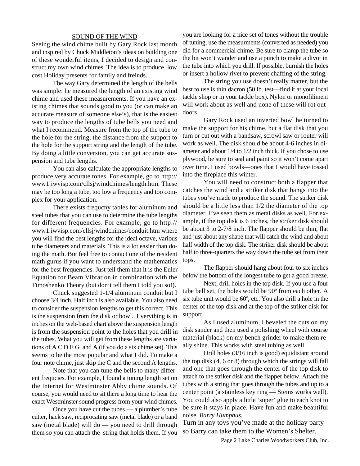## SOUND OF THE WIND

Seeing the wind chime built by Gary Rock last month and inspired by Chuck Middleton's ideas on building one of these wonderful items, I decided to design and construct my own wind chimes. The idea is to produce low cost Holiday presents for family and freinds.

The way Gary determined the length of the bells was simple: he measured the length of an existing wind chime and used these measurements. If you have an existing chimes that sounds good to you (or can make an accurate measure of someone else's), that is the easiest way to produce the lengths of tube bells you need and what I recommend. Measure from the top of the tube to the hole for the string, the distance from the support to the hole for the support string and the length of the tube. By doing a little conversion, you can get accurate suspension and tube lengths.

You can also calculate the appropriate lengths to produce very accurate tones. For example, go to http:// www1.iwvisp.com/cllsj/windchimes/length.htm. These may be too long a tube, too low a frequency and too complex for your application.

There exists frequcny tables for aluminum and steel tubes that you can use to determine the tube lengths for different frequencies. For example, go to http:// www1.iwvisp.com/cllsj/windchimes/conduit.htm where you will find the best lengths for the ideal octave, various tube diameters and materials. This is a lot easier than doing the math. But feel free to contact one of the resident math gurus if you want to understand the mathematics for the best frequencies. Just tell them that it is the Euler Equation for Beam Vibration in combination with the Timoshenko Theory (but don't tell them I told you so!).

Chuck suggested 1-1/4 aluminum conduit but I choose 3/4 inch. Half inch is also available. You also need to consider the suspension lengths to get this correct. This is the suspension from the disk or bowl. Everything is in inches on the web-based chart above the suspension length is from the suspension point to the holes that you drill in the tubes. What you will get from these lengths are variations of A C D E G and A (if you do a six chime set). This seems to be the most popular and what I did. To make a four note chime, just skip the C and the second A lengths.

Note that you can tune the bells to many different frequcies. For example, I found a tuning length set on the Internet for Westminster Abby chime sounds. Of course, you would need to sit there a long time to hear the exact Westminster sound progress from your wind chimes.

Once you have cut the tubes — a plumber's tube cutter, hack saw, reciprocating saw (metal blade) or a band saw (metal blade) will do — you need to drill through them so you can attach the string that holds them. If you you are looking for a nice set of tones without the trouble of tuning, use the measurments (converted as needed) you did for a commercial chime. Be sure to clamp the tube so the bit won't wander and use a punch to make a divot in the tube into which you drill. If possible, burnish the holes or insert a hollow rivet to prevent chaffing of the string.

The string you use doesn't really matter, but the best to use is thin dacron (50 lb. test—find it at your local tackle shop or in your tackle box). Nylon or monofiliment will work about as well and none of these will rot outdoors.

Gary Rock used an inverted bowl he turned to make the support for his chime, but a flat disk that you turn or cut out with a bandsaw, scrowl saw or router will work as well. The disk should be about 4-6 inches in diameter and about 1/4 to 1/2 inch thick. If you chose to use plywood, be sure to seal and paint so it won't come apart over time. I used bowls—ones that I would have tossed into the fireplace this winter.

You will need to construct both a flapper that catches the wind and a striker disk that bangs into the tubes you've made to produce the sound. The striker disk should be a little less than 1/2 the diameter of the top diameter. I've seen them as metal disks as well. For example, if the top disk is 6 inches, the striker disk should be about 3 to 2-7/8 inch. The flapper should be thin, flat and just about any shape that will catch the wind and about half width of the top disk. The striker disk should be about half to three-quarters the way down the tube set from their tops.

The flapper should hang about four to six inches below the bottom of the longest tube to get a good breeze.

Next, drill holes in the top disk. If you use a four tube bell set, the holes would be 90º from each other. A six tube unit would be 60º, etc. You also drill a hole in the center of the top disk and at the top of the striker disk for support.

As I used aluminum, I beveled the cuts on my disk sander and then used a polishing wheel with course material (black) on my bench grinder to make them really shine. This works with steel tubing as well.

Drill holes (3/16 inch is good) equidistant around the top disk (4, 6 or 8) through which the strings will fall and one that goes through the center of the top disk to attach to the striker disk and the flapper below. Attach the tubes with a string that goes through the tubes and up to a center point (a stainless key ring — Steins works well). You could also apply a little 'super' glue to each knot to be sure it stays in place. Have fun and make beautiful noise. *Barry Humphus.*

Turn in any toys you've made at the holiday party so Barry can take them to the Women's Shelter.

Page 2 Lake Charles Woodworkers Club, Inc.